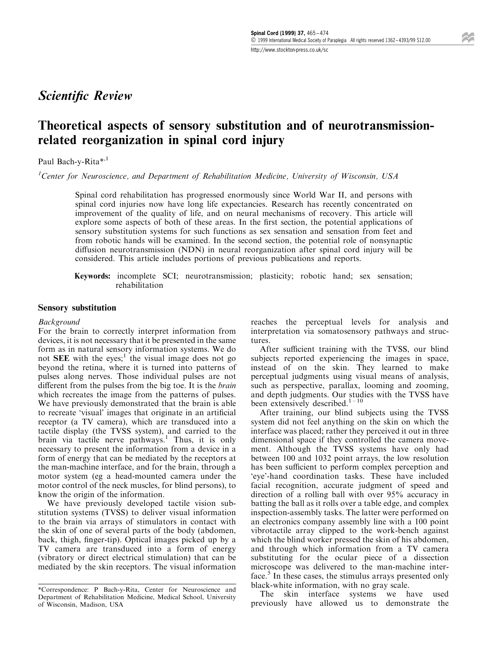## Scientific Review

# Theoretical aspects of sensory substitution and of neurotransmissionrelated reorganization in spinal cord injury

### Paul Bach-y-Rita\*,<sup>1</sup>

<sup>1</sup>Center for Neuroscience, and Department of Rehabilitation Medicine, University of Wisconsin, USA

Spinal cord rehabilitation has progressed enormously since World War II, and persons with spinal cord injuries now have long life expectancies. Research has recently concentrated on improvement of the quality of life, and on neural mechanisms of recovery. This article will explore some aspects of both of these areas. In the first section, the potential applications of sensory substitution systems for such functions as sex sensation and sensation from feet and from robotic hands will be examined. In the second section, the potential role of nonsynaptic diffusion neurotransmission (NDN) in neural reorganization after spinal cord injury will be considered. This article includes portions of previous publications and reports.

Keywords: incomplete SCI; neurotransmission; plasticity; robotic hand; sex sensation; rehabilitation

#### Sensory substitution

#### Background

For the brain to correctly interpret information from devices, it is not necessary that it be presented in the same form as in natural sensory information systems. We do not SEE with the eyes;<sup>1</sup> the visual image does not go beyond the retina, where it is turned into patterns of pulses along nerves. Those individual pulses are not different from the pulses from the big toe. It is the brain which recreates the image from the patterns of pulses. We have previously demonstrated that the brain is able to recreate 'visual' images that originate in an artificial receptor (a TV camera), which are transduced into a tactile display (the TVSS system), and carried to the brain via tactile nerve pathways.<sup>1</sup> Thus, it is only necessary to present the information from a device in a form of energy that can be mediated by the receptors at the man-machine interface, and for the brain, through a motor system (eg a head-mounted camera under the motor control of the neck muscles, for blind persons), to know the origin of the information.

We have previously developed tactile vision substitution systems (TVSS) to deliver visual information to the brain via arrays of stimulators in contact with the skin of one of several parts of the body (abdomen, back, thigh, finger-tip). Optical images picked up by a TV camera are transduced into a form of energy (vibratory or direct electrical stimulation) that can be mediated by the skin receptors. The visual information

reaches the perceptual levels for analysis and interpretation via somatosensory pathways and structures.

After sufficient training with the TVSS, our blind subjects reported experiencing the images in space, instead of on the skin. They learned to make perceptual judgments using visual means of analysis, such as perspective, parallax, looming and zooming, and depth judgments. Our studies with the TVSS have been extensively described.<sup>1-10</sup>

After training, our blind subjects using the TVSS system did not feel anything on the skin on which the interface was placed; rather they perceived it out in three dimensional space if they controlled the camera movement. Although the TVSS systems have only had between 100 and 1032 point arrays, the low resolution has been sufficient to perform complex perception and `eye'-hand coordination tasks. These have included facial recognition, accurate judgment of speed and direction of a rolling ball with over 95% accuracy in batting the ball as it rolls over a table edge, and complex inspection-assembly tasks. The latter were performed on an electronics company assembly line with a 100 point vibrotactile array clipped to the work-bench against which the blind worker pressed the skin of his abdomen, and through which information from a TV camera substituting for the ocular piece of a dissection microscope was delivered to the man-machine interface.<sup>5</sup> In these cases, the stimulus arrays presented only black-white information, with no gray scale.

The skin interface systems we have used previously have allowed us to demonstrate the

<sup>\*</sup>Correspondence: P Bach-y-Rita, Center for Neuroscience and Department of Rehabilitation Medicine, Medical School, University of Wisconsin, Madison, USA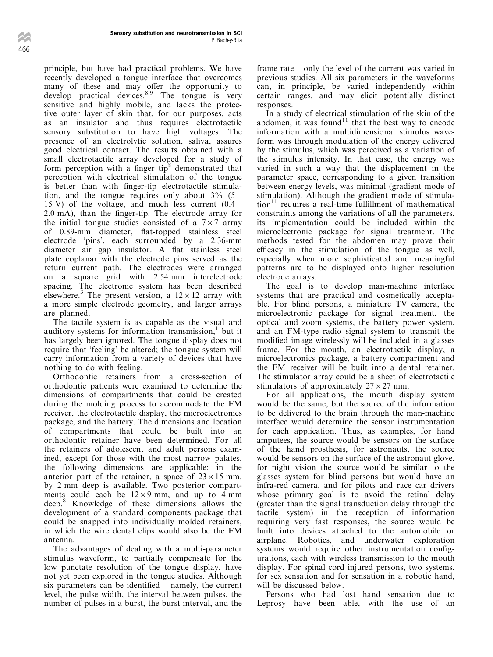principle, but have had practical problems. We have recently developed a tongue interface that overcomes many of these and may offer the opportunity to develop practical devices.<sup>8,9</sup> The tongue is very sensitive and highly mobile, and lacks the protective outer layer of skin that, for our purposes, acts as an insulator and thus requires electrotactile sensory substitution to have high voltages. The presence of an electrolytic solution, saliva, assures good electrical contact. The results obtained with a small electrotactile array developed for a study of form perception with a finger tip $\delta$  demonstrated that perception with electrical stimulation of the tongue is better than with finger-tip electrotactile stimulation, and the tongue requires only about  $3\%$  (5 -15 V) of the voltage, and much less current  $(0.4 2.0$  mA), than the finger-tip. The electrode array for the initial tongue studies consisted of a  $7\times7$  array of 0.89-mm diameter, flat-topped stainless steel electrode `pins', each surrounded by a 2.36-mm diameter air gap insulator. A flat stainless steel plate coplanar with the electrode pins served as the return current path. The electrodes were arranged on a square grid with 2.54 mm interelectrode spacing. The electronic system has been described elsewhere.<sup>3</sup> The present version, a  $12 \times 12$  array with a more simple electrode geometry, and larger arrays are planned.

The tactile system is as capable as the visual and auditory systems for information transmission, $<sup>1</sup>$  but it</sup> has largely been ignored. The tongue display does not require that `feeling' be altered; the tongue system will carry information from a variety of devices that have nothing to do with feeling.

Orthodontic retainers from a cross-section of orthodontic patients were examined to determine the dimensions of compartments that could be created during the molding process to accommodate the FM receiver, the electrotactile display, the microelectronics package, and the battery. The dimensions and location of compartments that could be built into an orthodontic retainer have been determined. For all the retainers of adolescent and adult persons examined, except for those with the most narrow palates, the following dimensions are applicable: in the anterior part of the retainer, a space of  $23 \times 15$  mm, by 2 mm deep is available. Two posterior compartments could each be  $12\times9$  mm, and up to 4 mm deep.<sup>8</sup> Knowledge of these dimensions allows the development of a standard components package that could be snapped into individually molded retainers, in which the wire dental clips would also be the FM antenna.

The advantages of dealing with a multi-parameter stimulus waveform, to partially compensate for the low punctate resolution of the tongue display, have not yet been explored in the tongue studies. Although six parameters can be identified  $-$  namely, the current level, the pulse width, the interval between pulses, the number of pulses in a burst, the burst interval, and the frame rate  $-\text{ only the level of the current was varied in}$ previous studies. All six parameters in the waveforms can, in principle, be varied independently within certain ranges, and may elicit potentially distinct responses

In a study of electrical stimulation of the skin of the abdomen, it was found<sup>11</sup> that the best way to encode information with a multidimensional stimulus waveform was through modulation of the energy delivered by the stimulus, which was perceived as a variation of the stimulus intensity. In that case, the energy was varied in such a way that the displacement in the parameter space, corresponding to a given transition between energy levels, was minimal (gradient mode of stimulation). Although the gradient mode of stimula- $\text{tion}^{11}$  requires a real-time fulfillment of mathematical constraints among the variations of all the parameters, its implementation could be included within the microelectronic package for signal treatment. The methods tested for the abdomen may prove their efficacy in the stimulation of the tongue as well, especially when more sophisticated and meaningful patterns are to be displayed onto higher resolution electrode arrays.

The goal is to develop man-machine interface systems that are practical and cosmetically acceptable. For blind persons, a miniature TV camera, the microelectronic package for signal treatment, the optical and zoom systems, the battery power system, and an FM-type radio signal system to transmit the modified image wirelessly will be included in a glasses frame. For the mouth, an electrotactile display, a microelectronics package, a battery compartment and the FM receiver will be built into a dental retainer. The stimulator array could be a sheet of electrotactile stimulators of approximately  $27 \times 27$  mm.

For all applications, the mouth display system would be the same, but the source of the information to be delivered to the brain through the man-machine interface would determine the sensor instrumentation for each application. Thus, as examples, for hand amputees, the source would be sensors on the surface of the hand prosthesis, for astronauts, the source would be sensors on the surface of the astronaut glove, for night vision the source would be similar to the glasses system for blind persons but would have an infra-red camera, and for pilots and race car drivers whose primary goal is to avoid the retinal delay (greater than the signal transduction delay through the tactile system) in the reception of information requiring very fast responses, the source would be built into devices attached to the automobile or airplane. Robotics, and underwater exploration systems would require other instrumentation configurations, each with wireless transmission to the mouth display. For spinal cord injured persons, two systems, for sex sensation and for sensation in a robotic hand, will be discussed below.

Persons who had lost hand sensation due to Leprosy have been able, with the use of an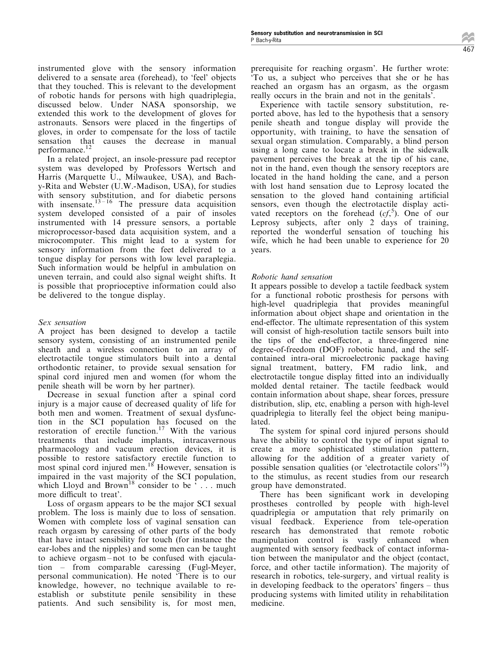instrumented glove with the sensory information delivered to a sensate area (forehead), to 'feel' objects that they touched. This is relevant to the development of robotic hands for persons with high quadriplegia, discussed below. Under NASA sponsorship, we extended this work to the development of gloves for astronauts. Sensors were placed in the fingertips of gloves, in order to compensate for the loss of tactile sensation that causes the decrease in manual performance. $<sup>1</sup>$ </sup>

In a related project, an insole-pressure pad receptor system was developed by Professors Wertsch and Harris (Marquette U., Milwaukee, USA), and Bachy-Rita and Webster (U.W.-Madison, USA), for studies with sensory substitution, and for diabetic persons with insensate.<sup>13-16</sup> The pressure data acquisition system developed consisted of a pair of insoles instrumented with 14 pressure sensors, a portable microprocessor-based data acquisition system, and a microcomputer. This might lead to a system for sensory information from the feet delivered to a tongue display for persons with low level paraplegia. Such information would be helpful in ambulation on uneven terrain, and could also signal weight shifts. It is possible that proprioceptive information could also be delivered to the tongue display.

### Sex sensation

A project has been designed to develop a tactile sensory system, consisting of an instrumented penile sheath and a wireless connection to an array of electrotactile tongue stimulators built into a dental orthodontic retainer, to provide sexual sensation for spinal cord injured men and women (for whom the penile sheath will be worn by her partner).

Decrease in sexual function after a spinal cord injury is a major cause of decreased quality of life for both men and women. Treatment of sexual dysfunction in the SCI population has focused on the restoration of erectile function.<sup>17</sup> With the various treatments that include implants, intracavernous pharmacology and vacuum erection devices, it is possible to restore satisfactory erectile function to most spinal cord injured men.<sup>18</sup> However, sensation is impaired in the vast majority of the SCI population, which Lloyd and Brown<sup>18</sup> consider to be  $\cdot$ ... much more difficult to treat'.

Loss of orgasm appears to be the major SCI sexual problem. The loss is mainly due to loss of sensation. Women with complete loss of vaginal sensation can reach orgasm by caressing of other parts of the body that have intact sensibility for touch (for instance the ear-lobes and the nipples) and some men can be taught to achieve orgasm  $-$  not to be confused with ejacula- $\mu$  tion  $\sigma$  from comparable caressing (Fugl-Meyer, personal communication). He noted `There is to our knowledge, however, no technique available to reestablish or substitute penile sensibility in these patients. And such sensibility is, for most men,

prerequisite for reaching orgasm'. He further wrote: `To us, a subject who perceives that she or he has reached an orgasm has an orgasm, as the orgasm really occurs in the brain and not in the genitals'.

Experience with tactile sensory substitution, reported above, has led to the hypothesis that a sensory penile sheath and tongue display will provide the opportunity, with training, to have the sensation of sexual organ stimulation. Comparably, a blind person using a long cane to locate a break in the sidewalk pavement perceives the break at the tip of his cane, not in the hand, even though the sensory receptors are located in the hand holding the cane, and a person with lost hand sensation due to Leprosy located the sensation to the gloved hand containing artificial sensors, even though the electrotactile display activated receptors on the forehead  $(cf,^5)$ . One of our Leprosy subjects, after only 2 days of training, reported the wonderful sensation of touching his wife, which he had been unable to experience for 20 years.

## Robotic hand sensation

It appears possible to develop a tactile feedback system for a functional robotic prosthesis for persons with high-level quadriplegia that provides meaningful information about object shape and orientation in the end-effector. The ultimate representation of this system will consist of high-resolution tactile sensors built into the tips of the end-effector, a three-fingered nine degree-of-freedom (DOF) robotic hand, and the selfcontained intra-oral microelectronic package having signal treatment, battery, FM radio link, and electrotactile tongue display fitted into an individually molded dental retainer. The tactile feedback would contain information about shape, shear forces, pressure distribution, slip, etc, enabling a person with high-level quadriplegia to literally feel the object being manipulated.

The system for spinal cord injured persons should have the ability to control the type of input signal to create a more sophisticated stimulation pattern, allowing for the addition of a greater variety of possible sensation qualities (or 'electrotactile colors'<sup>19</sup>) to the stimulus, as recent studies from our research group have demonstrated.

There has been significant work in developing prostheses controlled by people with high-level quadriplegia or amputation that rely primarily on visual feedback. Experience from tele-operation research has demonstrated that remote robotic manipulation control is vastly enhanced when augmented with sensory feedback of contact information between the manipulator and the object (contact, force, and other tactile information). The majority of research in robotics, tele-surgery, and virtual reality is in developing feedback to the operators' fingers  $-$  thus producing systems with limited utility in rehabilitation medicine.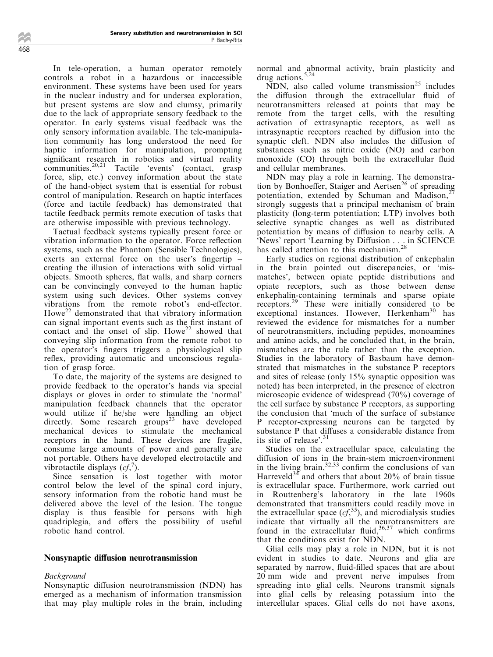In tele-operation, a human operator remotely controls a robot in a hazardous or inaccessible environment. These systems have been used for years in the nuclear industry and for undersea exploration, but present systems are slow and clumsy, primarily due to the lack of appropriate sensory feedback to the operator. In early systems visual feedback was the only sensory information available. The tele-manipulation community has long understood the need for haptic information for manipulation, prompting significant research in robotics and virtual reality communities.20,21 Tactile `events' (contact, grasp force, slip, etc.) convey information about the state of the hand-object system that is essential for robust control of manipulation. Research on haptic interfaces (force and tactile feedback) has demonstrated that tactile feedback permits remote execution of tasks that are otherwise impossible with previous technology.

Tactual feedback systems typically present force or vibration information to the operator. Force reflection systems, such as the Phantom (Sensible Technologies), exerts an external force on the user's fingertip  $$ creating the illusion of interactions with solid virtual objects. Smooth spheres, flat walls, and sharp corners can be convincingly conveyed to the human haptic system using such devices. Other systems convey vibrations from the remote robot's end-effector. Howe<sup>22</sup> demonstrated that that vibratory information can signal important events such as the first instant of contact and the onset of slip. Howe<sup>22</sup> showed that conveying slip information from the remote robot to the operator's fingers triggers a physiological slip reflex, providing automatic and unconscious regulation of grasp force.

To date, the majority of the systems are designed to provide feedback to the operator's hands via special displays or gloves in order to stimulate the `normal' manipulation feedback channels that the operator would utilize if he/she were handling an object directly. Some research groups<sup>23</sup> have developed mechanical devices to stimulate the mechanical receptors in the hand. These devices are fragile, consume large amounts of power and generally are not portable. Others have developed electrotactile and vibrotactile displays  $(cf, 7)$ .

Since sensation is lost together with motor control below the level of the spinal cord injury, sensory information from the robotic hand must be delivered above the level of the lesion. The tongue display is thus feasible for persons with high quadriplegia, and offers the possibility of useful robotic hand control.

### Nonsynaptic diffusion neurotransmission

### Background

Nonsynaptic diffusion neurotransmission (NDN) has emerged as a mechanism of information transmission that may play multiple roles in the brain, including normal and abnormal activity, brain plasticity and drug actions.  $5,24$ 

NDN, also called volume transmission<sup>25</sup> includes the diffusion through the extracellular fluid of neurotransmitters released at points that may be remote from the target cells, with the resulting activation of extrasynaptic receptors, as well as intrasynaptic receptors reached by diffusion into the synaptic cleft. NDN also includes the diffusion of substances such as nitric oxide (NO) and carbon monoxide (CO) through both the extracellular fluid and cellular membranes.

NDN may play a role in learning. The demonstration by Bonhoeffer, Staiger and Aertsen<sup>26</sup> of spreading potentiation, extended by Schuman and Madison,<sup>2</sup> strongly suggests that a principal mechanism of brain plasticity (long-term potentiation; LTP) involves both selective synaptic changes as well as distributed potentiation by means of diffusion to nearby cells. A 'News' report 'Learning by Diffusion . . . in SCIENCE has called attention to this mechanism.<sup>28</sup>

Early studies on regional distribution of enkephalin in the brain pointed out discrepancies, or `mismatches', between opiate peptide distributions and opiate receptors, such as those between dense enkephalin-containing terminals and sparse opiate receptors.<sup>29</sup> These were initially considered to be exceptional instances. However, Herkenham<sup>30</sup> has reviewed the evidence for mismatches for a number of neurotransmitters, including peptides, monoamines and amino acids, and he concluded that, in the brain, mismatches are the rule rather than the exception. Studies in the laboratory of Basbaum have demonstrated that mismatches in the substance P receptors and sites of release (only 15% synaptic opposition was noted) has been interpreted, in the presence of electron microscopic evidence of widespread (70%) coverage of the cell surface by substance P receptors, as supporting the conclusion that `much of the surface of substance P receptor-expressing neurons can be targeted by substance P that diffuses a considerable distance from its site of release'.<sup>31</sup>

Studies on the extracellular space, calculating the diffusion of ions in the brain-stem microenvironment in the living brain, $32,33$  confirm the conclusions of van Harreveld<sup>34</sup> and others that about 20% of brain tissue is extracellular space. Furthermore, work carried out in Routtenberg's laboratory in the late 1960s demonstrated that transmitters could readily move in the extracellular space  $(cf, <sup>35</sup>)$ , and microdialysis studies indicate that virtually all the neurotransmitters are found in the extracellular fluid, $36,37$  which confirms that the conditions exist for NDN.

Glial cells may play a role in NDN, but it is not evident in studies to date. Neurons and glia are separated by narrow, fluid-filled spaces that are about 20 mm wide and prevent nerve impulses from spreading into glial cells. Neurons transmit signals into glial cells by releasing potassium into the intercellular spaces. Glial cells do not have axons,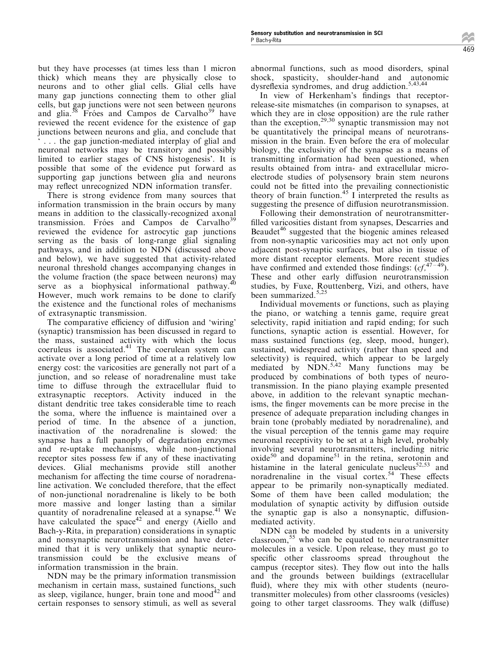but they have processes (at times less than 1 micron thick) which means they are physically close to neurons and to other glial cells. Glial cells have many gap junctions connecting them to other glial cells, but gap junctions were not seen between neurons and glia. $38 \text{ Fróes}$  and Campos de Carvalho<sup>39</sup> have reviewed the recent evidence for the existence of gap junctions between neurons and glia, and conclude that ` . . . the gap junction-mediated interplay of glial and neuronal networks may be transitory and possibly limited to earlier stages of CNS histogenesis'. It is

possible that some of the evidence put forward as supporting gap junctions between glia and neurons may reflect unrecognized NDN information transfer. There is strong evidence from many sources that information transmission in the brain occurs by many means in addition to the classically-recognized axonal transmission. Fróes and Campos de Carvalho<sup>39</sup> reviewed the evidence for astrocytic gap junctions serving as the basis of long-range glial signaling pathways, and in addition to NDN (discussed above and below), we have suggested that activity-related neuronal threshold changes accompanying changes in the volume fraction (the space between neurons) may serve as a biophysical informational pathway. $40$ However, much work remains to be done to clarify the existence and the functional roles of mechanisms

of extrasynaptic transmission. The comparative efficiency of diffusion and 'wiring' (synaptic) transmission has been discussed in regard to the mass, sustained activity with which the locus coeruleus is associated. $41$  The coerulean system can activate over a long period of time at a relatively low energy cost: the varicosities are generally not part of a junction, and so release of noradrenaline must take time to diffuse through the extracellular fluid to extrasynaptic receptors. Activity induced in the distant dendritic tree takes considerable time to reach the soma, where the influence is maintained over a period of time. In the absence of a junction, inactivation of the noradrenaline is slowed: the synapse has a full panoply of degradation enzymes and re-uptake mechanisms, while non-junctional receptor sites possess few if any of these inactivating devices. Glial mechanisms provide still another mechanism for affecting the time course of noradrenaline activation. We concluded therefore, that the effect of non-junctional noradrenaline is likely to be both more massive and longer lasting than a similar quantity of noradrenaline released at a synapse.<sup>41</sup> We have calculated the space<sup>42</sup> and energy (Aiello and Bach-y-Rita, in preparation) considerations in synaptic and nonsynaptic neurotransmission and have determined that it is very unlikely that synaptic neurotransmission could be the exclusive means of information transmission in the brain.

NDN may be the primary information transmission mechanism in certain mass, sustained functions, such as sleep, vigilance, hunger, brain tone and mood<sup>42</sup> and certain responses to sensory stimuli, as well as several

abnormal functions, such as mood disorders, spinal shock, spasticity, shoulder-hand and autonomic dysreflexia syndromes, and drug addiction.<sup>5,43,44</sup>

In view of Herkenham's findings that receptorrelease-site mismatches (in comparison to synapses, at which they are in close opposition) are the rule rather than the exception, $2^{9,30}$  synaptic transmission may not be quantitatively the principal means of neurotransmission in the brain. Even before the era of molecular biology, the exclusivity of the synapse as a means of transmitting information had been questioned, when results obtained from intra- and extracellular microelectrode studies of polysensory brain stem neurons could not be fitted into the prevailing connectionistic theory of brain function.<sup>45</sup> I interpreted the results as suggesting the presence of diffusion neurotransmission.

Following their demonstration of neurotransmitter filled varicosities distant from synapses, Descarries and Beaudet<sup>46</sup> suggested that the biogenic amines released from non-synaptic varicosities may act not only upon adjacent post-synaptic surfaces, but also in tissue of more distant receptor elements. More recent studies have confirmed and extended those findings:  $(cf, ^{47-49})$ . These and other early diffusion neurotransmission studies, by Fuxe, Routtenberg, Vizi, and others, have been summarized.<sup>5,2</sup>

Individual movements or functions, such as playing the piano, or watching a tennis game, require great selectivity, rapid initiation and rapid ending; for such functions, synaptic action is essential. However, for mass sustained functions (eg, sleep, mood, hunger), sustained, widespread activity (rather than speed and selectivity) is required, which appear to be largely mediated by  $NDN.^{5,42}$  Many functions may be produced by combinations of both types of neurotransmission. In the piano playing example presented above, in addition to the relevant synaptic mechanisms, the finger movements can be more precise in the presence of adequate preparation including changes in brain tone (probably mediated by noradrenaline), and the visual perception of the tennis game may require neuronal receptivity to be set at a high level, probably involving several neurotransmitters, including nitric  $oxide<sup>50</sup>$  and dopamine<sup>51</sup> in the retina, serotonin and histamine in the lateral geniculate nucleus<sup>52,53</sup> and noradrenaline in the visual cortex.<sup>54</sup> These effects appear to be primarily non-synaptically mediated. Some of them have been called modulation; the modulation of synaptic activity by diffusion outside the synaptic gap is also a nonsynaptic, diffusionmediated activity.

NDN can be modeled by students in a university classroom,<sup>55</sup> who can be equated to neurotransmitter molecules in a vesicle. Upon release, they must go to specific other classrooms spread throughout the campus (receptor sites). They flow out into the halls and the grounds between buildings (extracellular fluid), where they mix with other students (neurotransmitter molecules) from other classrooms (vesicles) going to other target classrooms. They walk (diffuse)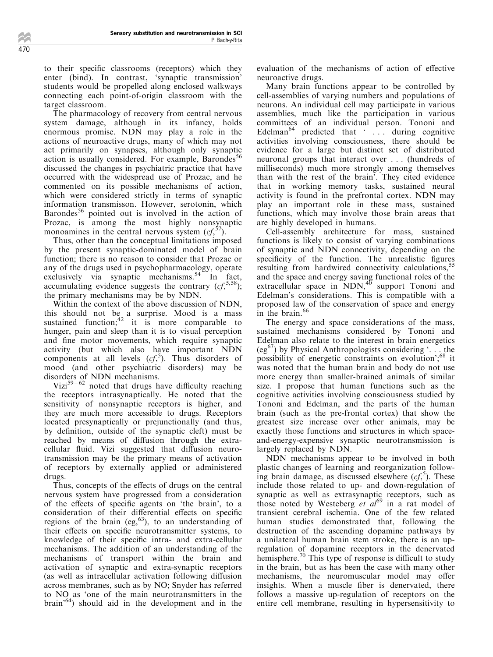to their specific classrooms (receptors) which they enter (bind). In contrast, `synaptic transmission' students would be propelled along enclosed walkways connecting each point-of-origin classroom with the target classroom.

The pharmacology of recovery from central nervous system damage, although in its infancy, holds enormous promise. NDN may play a role in the actions of neuroactive drugs, many of which may not act primarily on synapses, although only synaptic action is usually considered. For example, Barondes<sup>56</sup> discussed the changes in psychiatric practice that have occurred with the widespread use of Prozac, and he commented on its possible mechanisms of action, which were considered strictly in terms of synaptic information transmisson. However, serotonin, which Barondes<sup>56</sup> pointed out is involved in the action of Prozac, is among the most highly nonsynaptic monoamines in the central nervous system  $(cf<sub>i</sub><sup>5</sup>)$  $\cdot$ <sup> $\cdot$ </sup>).

Thus, other than the conceptual limitations imposed by the present synaptic-dominated model of brain function; there is no reason to consider that Prozac or any of the drugs used in psychopharmacology, operate exclusively via synaptic mechanisms.<sup>54</sup> In fact, accumulating evidence suggests the contrary  $(cf, ^{5,58})$ ; the primary mechanisms may be by NDN.

Within the context of the above discussion of NDN, this should not be a surprise. Mood is a mass sustained function; $42 \text{ it is more comparable to}$ hunger, pain and sleep than it is to visual perception and fine motor movements, which require synaptic activity (but which also have important NDN components at all levels  $(cf,^5)$ . Thus disorders of mood (and other psychiatric disorders) may be disorders of NDN mechanisms.

Vizi<sup>59-62</sup> noted that drugs have difficulty reaching the receptors intrasynaptically. He noted that the sensitivity of nonsynaptic receptors is higher, and they are much more accessible to drugs. Receptors located presynaptically or prejunctionally (and thus, by definition, outside of the synaptic cleft) must be reached by means of diffusion through the extracellular fluid. Vizi suggested that diffusion neurotransmission may be the primary means of activation of receptors by externally applied or administered drugs.

Thus, concepts of the effects of drugs on the central nervous system have progressed from a consideration of the effects of specific agents on 'the brain', to a consideration of their differential effects on specific regions of the brain (eg,  $63$ ), to an understanding of their effects on specific neurotransmitter systems, to knowledge of their specific intra- and extra-cellular mechanisms. The addition of an understanding of the mechanisms of transport within the brain and activation of synaptic and extra-synaptic receptors (as well as intracellular activation following diffusion across membranes, such as by NO; Snyder has referred to NO as `one of the main neurotransmitters in the brain'64) should aid in the development and in the evaluation of the mechanisms of action of effective neuroactive drugs.

Many brain functions appear to be controlled by cell-assemblies of varying numbers and populations of neurons. An individual cell may participate in various assemblies, much like the participation in various committees of an individual person. Tononi and Edelman<sup>64</sup> predicted that  $\hat{\cdot}$ . during cognitive activities involving consciousness, there should be evidence for a large but distinct set of distributed neuronal groups that interact over . . . (hundreds of milliseconds) much more strongly among themselves than with the rest of the brain'. They cited evidence that in working memory tasks, sustained neural activity is found in the prefrontal cortex. NDN may play an important role in these mass, sustained functions, which may involve those brain areas that are highly developed in humans.

Cell-assembly architecture for mass, sustained functions is likely to consist of varying combinations of synaptic and NDN connectivity, depending on the specificity of the function. The unrealistic figures resulting from hardwired connectivity calculations,<sup>5</sup> and the space and energy saving functional roles of the extracellular space in  $NDN$ ,<sup>40</sup> support Tononi and Edelman's considerations. This is compatible with a proposed law of the conservation of space and energy in the brain.<sup>66</sup>

The energy and space considerations of the mass, sustained mechanisms considered by Tononi and Edelman also relate to the interest in brain energetics (eg<sup>67</sup>) by Physical Anthropologists considering  $\therefore$  . the possibility of energetic constraints on evolution';<sup>68</sup> it was noted that the human brain and body do not use more energy than smaller-brained animals of similar size. I propose that human functions such as the cognitive activities involving consciousness studied by Tononi and Edelman, and the parts of the human brain (such as the pre-frontal cortex) that show the greatest size increase over other animals, may be exactly those functions and structures in which spaceand-energy-expensive synaptic neurotransmission is largely replaced by NDN.

NDN mechanisms appear to be involved in both plastic changes of learning and reorganization following brain damage, as discussed elsewhere  $(cf,^5)$ . These include those related to up- and down-regulation of synaptic as well as extrasynaptic receptors, such as those noted by Westeberg  $et$   $al^{69}$  in a rat model of transient cerebral ischemia. One of the few related human studies demonstrated that, following the destruction of the ascending dopamine pathways by a unilateral human brain stem stroke, there is an upregulation of dopamine receptors in the denervated hemisphere.<sup>70</sup> This type of response is difficult to study in the brain, but as has been the case with many other mechanisms, the neuromuscular model may offer insights. When a muscle fiber is denervated, there follows a massive up-regulation of receptors on the entire cell membrane, resulting in hypersensitivity to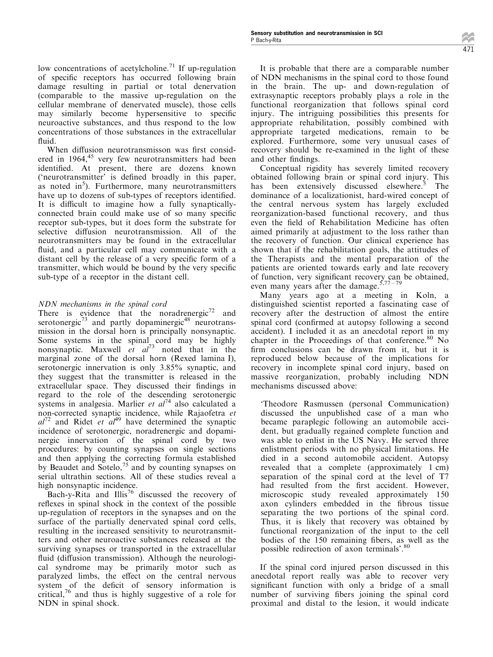low concentrations of acetylcholine.<sup>71</sup> If up-regulation of specific receptors has occurred following brain damage resulting in partial or total denervation (comparable to the massive up-regulation on the cellular membrane of denervated muscle), those cells may similarly become hypersensitive to specific

 $\lim_{\mathrm{d}}$ When diffusion neurotransmisson was first considered in 1964,<sup>45</sup> very few neurotransmitters had been identified. At present, there are dozens known ('neurotransmitter' is defined broadly in this paper, as noted in<sup>5</sup>). Furthermore, many neurotransmitters have up to dozens of sub-types of receptors identified. It is difficult to imagine how a fully synapticallyconnected brain could make use of so many specific receptor sub-types, but it does form the substrate for selective diffusion neurotransmission. All of the neurotransmitters may be found in the extracellular fluid, and a particular cell may communicate with a distant cell by the release of a very specific form of a transmitter, which would be bound by the very specific sub-type of a receptor in the distant cell.

neuroactive substances, and thus respond to the low concentrations of those substances in the extracellular

## NDN mechanisms in the spinal cord

There is evidence that the noradrenergic $72$  and serotonergic<sup>73</sup> and partly dopaminergic<sup>48</sup> neurotransmission in the dorsal horn is principally nonsynaptic. Some systems in the spinal cord may be highly nonsynaptic. Maxwell *et al*<sup>73</sup> noted that in the marginal zone of the dorsal horn (Rexed lamina I), serotonergic innervation is only 3.85% synaptic, and they suggest that the transmitter is released in the extracellular space. They discussed their findings in regard to the role of the descending serotonergic systems in analgesia. Marlier et  $al^{74}$  also calculated a non-corrected synaptic incidence, while Rajaofetra et  $al^{72}$  and Ridet *et*  $al^{49}$  have determined the synaptic incidence of serotonergic, noradrenergic and dopaminergic innervation of the spinal cord by two procedures: by counting synapses on single sections and then applying the correcting formula established by Beaudet and Sotelo,<sup>75</sup> and by counting synapses on serial ultrathin sections. All of these studies reveal a high nonsynaptic incidence.

Bach-y-Rita and Illis<sup>76</sup> discussed the recovery of reflexes in spinal shock in the context of the possible up-regulation of receptors in the synapses and on the surface of the partially denervated spinal cord cells, resulting in the increased sensitivity to neurotransmitters and other neuroactive substances released at the surviving synapses or transported in the extracellular fluid (diffusion transmission). Although the neurological syndrome may be primarily motor such as paralyzed limbs, the effect on the central nervous system of the deficit of sensory information is critical, $76$  and thus is highly suggestive of a role for NDN in spinal shock.

It is probable that there are a comparable number of NDN mechanisms in the spinal cord to those found in the brain. The up- and down-regulation of extrasynaptic receptors probably plays a role in the functional reorganization that follows spinal cord injury. The intriguing possibilities this presents for appropriate rehabilitation, possibly combined with appropriate targeted medications, remain to be explored. Furthermore, some very unusual cases of recovery should be re-examined in the light of these and other findings.

Conceptual rigidity has severely limited recovery obtained following brain or spinal cord injury. This has been extensively discussed elsewhere.<sup>5</sup> The dominance of a localizationist, hard-wired concept of the central nervous system has largely excluded reorganization-based functional recovery, and thus even the field of Rehabilitation Medicine has often aimed primarily at adjustment to the loss rather than the recovery of function. Our clinical experience has shown that if the rehabilitation goals, the attitudes of the Therapists and the mental preparation of the patients are oriented towards early and late recovery of function, very significant recovery can be obtained, even many years after the damage.<sup>5,77-79</sup>

Many years ago at a meeting in Koln, a distinguished scientist reported a fascinating case of recovery after the destruction of almost the entire spinal cord (confirmed at autopsy following a second accident). I included it as an anecdotal report in my chapter in the Proceedings of that conference. $80$  No firm conclusions can be drawn from it, but it is reproduced below because of the implications for recovery in incomplete spinal cord injury, based on massive reorganization, probably including NDN mechanisms discussed above:

`Theodore Rasmussen (personal Communication) discussed the unpublished case of a man who became paraplegic following an automobile accident, but gradually regained complete function and was able to enlist in the US Navy. He served three enlistment periods with no physical limitations. He died in a second automobile accident. Autopsy revealed that a complete (approximately 1 cm) separation of the spinal cord at the level of T7 had resulted from the first accident. However, microscopic study revealed approximately 150 axon cylinders embedded in the fibrous tissue separating the two portions of the spinal cord. Thus, it is likely that recovery was obtained by functional reorganization of the input to the cell bodies of the 150 remaining fibers, as well as the possible redirection of axon terminals'.<sup>8</sup>

If the spinal cord injured person discussed in this anecdotal report really was able to recover very significant function with only a bridge of a small number of surviving fibers joining the spinal cord proximal and distal to the lesion, it would indicate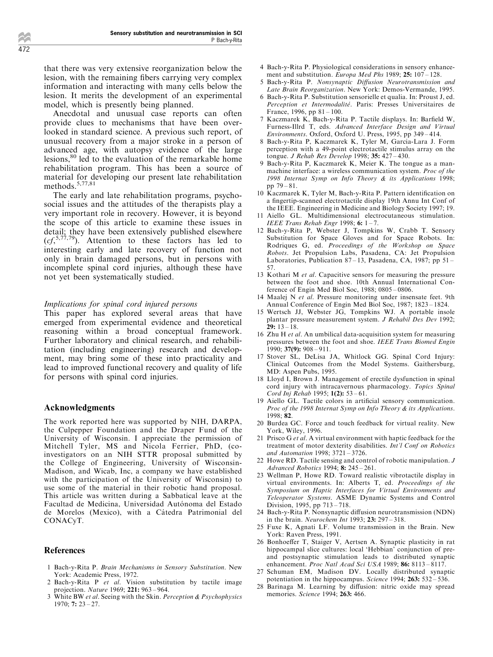that there was very extensive reorganization below the lesion, with the remaining fibers carrying very complex information and interacting with many cells below the lesion. It merits the development of an experimental model, which is presently being planned.

Anecdotal and unusual case reports can often provide clues to mechanisms that have been overlooked in standard science. A previous such report, of unusual recovery from a major stroke in a person of advanced age, with autopsy evidence of the large lesions,<sup>80</sup> led to the evaluation of the remarkable home rehabilitation program. This has been a source of material for developing our present late rehabilitation methods.5,77,81

The early and late rehabilitation programs, psychosocial issues and the attitudes of the therapists play a very important role in recovery. However, it is beyond the scope of this article to examine these issues in detail; they have been extensively published elsewhere  $(cf, 5,77,79)$ . Attention to these factors has led to interesting early and late recovery of function not only in brain damaged persons, but in persons with incomplete spinal cord injuries, although these have not yet been systematically studied.

#### Implications for spinal cord injured persons

This paper has explored several areas that have emerged from experimental evidence and theoretical reasoning within a broad conceptual framework. Further laboratory and clinical research, and rehabilitation (including engineering) research and development, may bring some of these into practicality and lead to improved functional recovery and quality of life for persons with spinal cord injuries.

#### Acknowledgments

The work reported here was supported by NIH, DARPA, the Culpepper Foundation and the Draper Fund of the University of Wisconsin. I appreciate the permission of Mitchell Tyler, MS and Nicola Ferrier, PhD, (coinvestigators on an NIH STTR proposal submitted by the College of Engineering, University of Wisconsin-Madison, and Wicab, Inc, a company we have established with the participation of the University of Wisconsin) to use some of the material in their robotic hand proposal. This article was written during a Sabbatical leave at the Facultad de Medicina, Universidad Autónoma del Estado de Morelos (Mexico), with a Cátedra Patrimonial del CONACyT.

#### **References**

- 1 Bach-y-Rita P. Brain Mechanisms in Sensory Substitution. New York: Academic Press, 1972.
- 2 Bach-y-Rita P et al. Vision substitution by tactile image projection. Nature 1969; 221: 963-964.
- 3 White BW et al. Seeing with the Skin. Perception & Psychophysics  $1970; 7: 23 - 27.$
- 4 Bach-y-Rita P. Physiological considerations in sensory enhancement and substitution. Europa Med Phs 1989; 25:  $107 - 128$ .
- 5 Bach-y-Rita P. Nonsynaptic Diffusion Neurotransmission and Late Brain Reorganization. New York: Demos-Vermande, 1995.
- 6 Bach-y-Rita P. Substitution sensorielle et qualia. In: Proust J, ed. Perception et Intermodalité. Paris: Presses Universitaires de France, 1996, pp  $81 - 100$ .
- 7 Kaczmarek K, Bach-y-Rita P. Tactile displays. In: Barfield W, Furness-Illrd T, eds. Advanced Interface Design and Virtual Environments. Oxford, Oxford U. Press, 1995, pp  $349 - 414$ .
- 8 Bach-y-Rita P, Kaczmarek K, Tyler M, Garcia-Lara J. Form perception with a 49-point electrotactile stimulus array on the tongue. J Rehab Res Develop 1998; 35: 427-430.
- 9 Bach-y-Rita P, Kaczmarek K, Meier K. The tongue as a manmachine interface: a wireless communication system. Proc of the 1998 Internat Symp on Info Theory & its Applications 1998; pp  $79 - 81$ .
- $10\,$  Kaczmarek K, Tyler M, Bach-y-Rita P. Pattern identification on a fingertip-scanned electrotactile display 19th Annu Int Conf of the IEEE. Engineering in Medicine and Biology Society 1997; 19.
- 11 Aiello GL. Multidimensional electrocutaneous stimulation. IEEE Trans Rehab Engr 1998; 6:  $1 - 7$ .
- 12 Bach-y-Rita P, Webster J, Tompkins W, Crabb T. Sensory Substitution for Space Gloves and for Space Robots. In: Rodriques G, ed. Proceedings of the Workshop on Space Robots. Jet Propulsion Labs, Pasadena, CA: Jet Propulsion Laboratories, Publication 87 - 13, Pasadena, CA, 1987; pp 51 -57.
- 13 Kothari M et al. Capacitive sensors for measuring the pressure between the foot and shoe. 10th Annual International Conference of Engin Med Biol Soc,  $1988$ ;  $0805 - 0806$ .
- 14 Maalej N et al. Pressure monitoring under insensate feet. 9th Annual Conference of Engin Med Biol Soc, 1987; 1823 – 1824.
- 15 Wertsch JJ, Webster JG, Tompkins WJ. A portable insole plantar pressure measurement system. J Rehabil Des Dev 1992; 29:  $13 - 18$ .
- 16 Zhu H et al. An umbilical data-acquisition system for measuring pressures between the foot and shoe. IEEE Trans Biomed Engin  $1990 \cdot 37(9) \cdot 908 - 911$
- 17 Stover SL, DeLisa JA, Whitlock GG. Spinal Cord Injury: Clinical Outcomes from the Model Systems. Gaithersburg, MD: Aspen Pubs, 1995.
- 18 Lloyd I, Brown J. Management of erectile dysfunction in spinal cord injury with intracavernous pharmacology. Topics Spinal Cord Inj Rehab 1995;  $1(2): 53-61$ .
- 19 Aiello GL. Tactile colors in artificial sensory communication. Proc of the 1998 Internat Symp on Info Theory & its Applications. 1998; 82.
- 20 Burdea GC. Force and touch feedback for virtual reality. New York, Wiley, 1996.
- 21 Prisco G et al. A virtual environment with haptic feedback for the treatment of motor dexterity disabilities. Int'l Conf on Robotics and Automation 1998;  $3721 - 3726$ .
- 22 Howe RD. Tactile sensing and control of robotic manipulation. J Advanced Robotics 1994; 8: 245 - 261.
- 23 Wellman P, Howe RD. Toward realistic vibrotactile display in virtual environments. In: Alberts T, ed. Proceedings of the Symposium on Haptic Interfaces for Virtual Environments and Teleoperator Systems. ASME Dynamic Systems and Control Division, 1995, pp 713-718.
- 24 Bach-y-Rita P. Nonsynaptic diffusion neurotransmission (NDN) in the brain. Neurochem Int 1993;  $23: 297 - 318$ .
- 25 Fuxe K, Agnati LF. Volume transmission in the Brain. New York: Raven Press, 1991.
- 26 Bonhoeffer T, Staiger V, Aertsen A. Synaptic plasticity in rat hippocampal slice cultures: local 'Hebbian' conjunction of preand postsynaptic stimulation leads to distributed synaptic enhancement. Proc Natl Acad Sci USA 1989; 86: 8113-8117.
- 27 Schuman EM, Madison DV. Locally distributed synaptic potentiation in the hippocampus. Science 1994;  $263: 532-536$ .
- 28 Barinaga M. Learning by diffusion: nitric oxide may spread memories. Science 1994; 263: 466.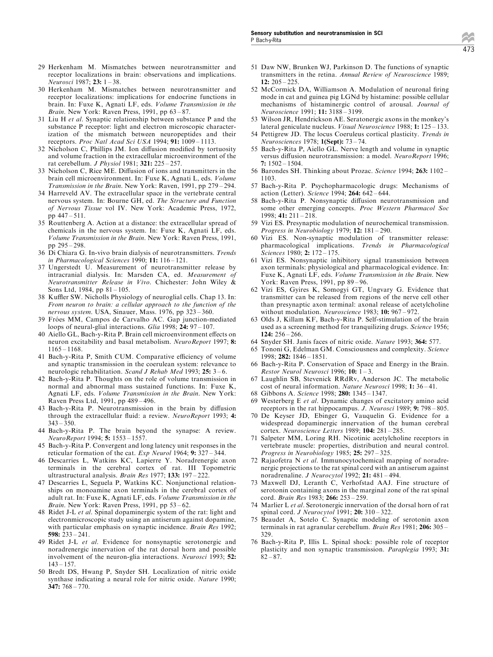- 51 Daw NW, Brunken WJ, Parkinson D. The functions of synaptic
- 29 Herkenham M. Mismatches between neurotransmitter and receptor localizations in brain: observations and implications. Neurosci 1987:  $23: 1 - 38$ .
- 30 Herkenham M. Mismatches between neurotransmitter and receptor localizations: implications for endocrine functions in brain. In: Fuxe K, Agnati LF, eds. Volume Transmission in the Brain. New York: Raven Press, 1991, pp  $63 - 87$ .
- 31 Liu H et al. Synaptic relationship between substance P and the substance P receptor: light and electron microscopic characterization of the mismatch between neuropeptides and their receptors. Proc Natl Acad Sci USA 1994;  $91: 1009 - 1113$ .
- 32 Nicholson C, Phillips JM. Ion diffusion modified by tortuosity and volume fraction in the extracellular microenvironment of the rat cerebellum. J Physiol 1981;  $321: 225 - 257$ .
- Nicholson C, Rice ME. Diffusion of ions and transmitters in the brain cell microenvironment. In: Fuxe K, Agnati L, eds. Volume Transmission in the Brain. New York: Raven, 1991, pp  $279 - 294$ .
- 34 Harreveld AV. The extracellular space in the vertebrate central nervous system. In: Bourne GH, ed. The Structure and Function of Nervous Tissue vol IV. New York: Academic Press, 1972, pp  $447 - 511$ .
- 35 Routtenberg A. Action at a distance: the extracellular spread of chemicals in the nervous system. In: Fuxe K, Agnati LF, eds. Volume Transmission in the Brain. New York: Raven Press, 1991, pp  $295 - 298$ .
- 36 Di Chiara G. In-vivo brain dialysis of neurotransmitters. Trends in Pharmacological Sciences 1990; 11:  $116 - 121$ .
- 37 Ungerstedt U. Measurement of neurotransmitter release by intracranial dialysis. In: Marsden CA, ed. Measurement of Neurotransmitter Release in Vivo. Chichester: John Wiley & Sons Ltd, 1984, pp  $81 - 105$ .
- 38 Kuffler SW. Nicholls Physiology of neuroglial cells. Chap 13. In: From neuron to brain: a cellular approach to the function of the nervous system. USA, Sinauer, Mass. 1976, pp 323-360.
- 39 Fróes MM, Campos de Carvalho AC. Gap junction-mediated loops of neural-glial interactions. Glia 1998;  $24: 97-107$ .
- 40 Aiello GL, Bach-y-Rita P. Brain cell microenvironment effects on neuron excitability and basal metabolism. NeuroReport 1997; 8:  $1165 - 1168$
- 41 Bach-y-Rita P, Smith CUM. Comparative efficiency of volume and synaptic transmission in the coerulean system: relevance to neurologic rehabilitation. Scand J Rehab Med 1993;  $25: 3-6$ .
- 42 Bach-y-Rita P. Thoughts on the role of volume transmission in normal and abnormal mass sustained functions. In: Fuxe K, Agnati LF, eds. Volume Transmission in the Brain. New York: Raven Press Ltd, 1991, pp 489-496.
- 43 Bach-y-Rita P. Neurotransmission in the brain by diffusion through the extracellular fluid: a review. NeuroReport 1993; 4:  $343 - 350$
- 44 Bach-y-Rita P. The brain beyond the synapse: A review. NeuroReport 1994; 5: 1553-1557.
- 45 Bach-y-Rita P. Convergent and long latency unit responses in the reticular formation of the cat. Exp Neurol 1964; 9:  $327 - 344$ .
- 46 Descarries L, Watkins KC, Lapierre Y. Noradrenergic axon terminals in the cerebral cortex of rat. III Topometric ultrastructural analysis. Brain Res 1977; 133: 197-222.
- 47 Descarries L, Seguela P, Watkins KC. Nonjunctional relationships on monoamine axon terminals in the cerebral cortex of adult rat. In: Fuxe K, Agnati LF, eds. Volume Transmission in the Brain. New York: Raven Press,  $1991$ , pp  $53-62$ .
- 48 Ridet J-L et al. Spinal dopaminergic system of the rat: light and electronmicroscopic study using an antiserum against dopamine, with particular emphasis on synaptic incidence. Brain Res 1992; 598:  $\hat{2}33 - 241$ .
- 49 Ridet J-L et al. Evidence for nonsynaptic serotonergic and noradrenergic innervation of the rat dorsal horn and possible involvement of the neuron-glia interactions. Neurosci 1993; 52:  $143 - 157$
- 50 Bredt DS, Hwang P, Snyder SH. Localization of nitric oxide synthase indicating a neural role for nitric oxide. Nature 1990;  $347: 768 - 770.$
- transmitters in the retina. Annual Review of Neuroscience 1989;  $12: 205 - 225$ 52 McCormick DA, Williamson A. Modulation of neuronal firing mode in cat and guinea pig LGNd by histamine: possible cellular
- mechanisms of histaminergic control of arousal. Journal of Neuroscience 1991; 11: 3188 - 3199. 53 Wilson JR, Hendrickson AE. Seratonergic axons in the monkey's
- lateral geniculate nucleus. Visual Neuroscience 1988; 1: 125 133. 54 Pettigrew JD. The locus Coeruleus cortical plasticity. Trends in
- Neurosciences 1978;  $1(Sept): 73-74$ .
- 55 Bach-y-Rita P, Aiello GL. Nerve length and volume in synaptic versus diffusion neurotransmission: a model. NeuroReport 1996;  $7: 1502 - 1504.$
- 56 Barondes SH. Thinking about Prozac. Science 1994; 263: 1102 -1103.
- 57 Bach-y-Rita P. Psychopharmacologic drugs: Mechanisms of action (Letter). Science 1994;  $264: 642 - 644$ .
- 58 Bach-y-Rita P. Nonsynaptic diffusion neurotransmission and some other emerging concepts. Proc Western Pharmacol Soc  $1998: 41: 211 - 218.$
- 59 Vizi ES. Presynaptic modulation of neurochemical transmission. Progress in Neurobiology 1979;  $12: 181-290$ .
- 60 Vizi ES. Non-synaptic modulation of transmitter release: pharmacological implications. Trends in Pharmacological Sciences 1980; 2: 172-175.
- 61 Vizi ES. Nonsynaptic inhibitory signal transmission between axon terminals: physiological and pharmacological evidence. In: Fuxe K, Agnati LF, eds. Volume Transmission in the Brain. New York: Raven Press,  $1991$ , pp  $89 - 96$ .
- 62 Vizi ES, Gyires K, Somogyi GT, Ungvary G. Evidence that transmitter can be released from regions of the nerve cell other than presynaptic axon terminal: axonal release of acetylcholine without modulation. Neuroscience 1983; 10: 967-972.
- 63 Olds J, Killam KF, Bach-y-Rita P. Self-stimulation of the brain used as a screening method for tranquilizing drugs. Science 1956; 124:  $256 - 266$ .
- 64 Snyder SH. Janis faces of nitric oxide. Nature 1993; 364: 577.
- 65 Tononi G, Edelman GM. Consciousness and complexity. Science  $1998: 282: 1846 - 1851.$
- 66 Bach-y-Rita P. Conservation of Space and Energy in the Brain. Restor Neurol Neurosci 1996; 10:  $1-3$ .
- 67 Laughlin SB, Stevenick RRdRv, Anderson JC. The metabolic cost of neural information. Nature Neurosci 1998: 1:  $36 - 41$ .
- 68 Gibbons A. Science 1998; 280: 1345-1347.
- 69 Westerberg E et al. Dynamic changes of excitatory amino acid receptors in the rat hippocampus. J. Neurosci 1989; 9: 798 - 805.
- 70 De Keyser JD, Ebinger G, Vauquelin G. Evidence for a widespread dopaminergic innervation of the human cerebral cortex. Neuroscience Letters 1989; 104: 281-285.
- 71 Salpeter MM, Loring RH. Nicotinic acetylcholine receptors in vertebrate muscle: properties, distribution and neural control. Progress in Neurobiology 1985;  $25: 297 - 325$ .
- 72 Rajaofetra N et al. Immunocytochemical mapping of noradrenergic projections to the rat spinal cord with an antiserum against noradrenaline. J Neurocytol 1992;  $21: 481 - 494$ .
- 73 Maxwell DJ, Leranth C, Verhofstad AAJ. Fine structure of serotonin containing axons in the marginal zone of the rat spinal cord. Brain Res 1983; 266: 253-259.
- 74 Marlier L et al. Serotonergic innervation of the dorsal horn of rat spinal cord. *J Neurocytol* 1991; 20: 310-322.
- 75 Beaudet A, Sotelo C. Synaptic modeling of serotonin axon terminals in rat agranular cerebellum. Brain Res 1981; 206: 305 -329.
- 76 Bach-y-Rita P, Illis L. Spinal shock: possible role of receptor plasticity and non synaptic transmission. Paraplegia 1993; 31:  $82 - 87$ .